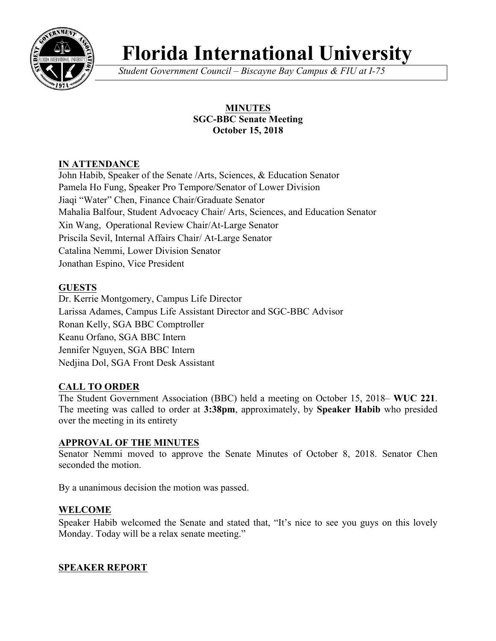

# **Florida International University**

*Student Government Council – Biscayne Bay Campus & FIU at I-75*

## **MINUTES SGC-BBC Senate Meeting October 15, 2018**

## **IN ATTENDANCE**

John Habib, Speaker of the Senate /Arts, Sciences, & Education Senator Pamela Ho Fung, Speaker Pro Tempore/Senator of Lower Division Jiaqi "Water" Chen, Finance Chair/Graduate Senator Mahalia Balfour, Student Advocacy Chair/ Arts, Sciences, and Education Senator Xin Wang, Operational Review Chair/At-Large Senator Priscila Sevil, Internal Affairs Chair/ At-Large Senator Catalina Nemmi, Lower Division Senator Jonathan Espino, Vice President

## **GUESTS**

Dr. Kerrie Montgomery, Campus Life Director Larissa Adames, Campus Life Assistant Director and SGC-BBC Advisor Ronan Kelly, SGA BBC Comptroller Keanu Orfano, SGA BBC Intern Jennifer Nguyen, SGA BBC Intern Nedjina Dol, SGA Front Desk Assistant

### **CALL TO ORDER**

The Student Government Association (BBC) held a meeting on October 15, 2018– **WUC 221**. The meeting was called to order at **3:38pm**, approximately, by **Speaker Habib** who presided over the meeting in its entirety

#### **APPROVAL OF THE MINUTES**

Senator Nemmi moved to approve the Senate Minutes of October 8, 2018. Senator Chen seconded the motion.

By a unanimous decision the motion was passed.

### **WELCOME**

Speaker Habib welcomed the Senate and stated that, "It's nice to see you guys on this lovely Monday. Today will be a relax senate meeting."

### **SPEAKER REPORT**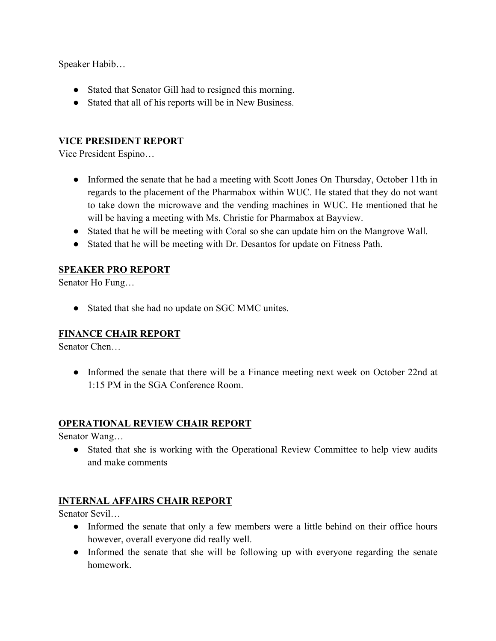Speaker Habib…

- Stated that Senator Gill had to resigned this morning.
- Stated that all of his reports will be in New Business.

## **VICE PRESIDENT REPORT**

Vice President Espino…

- Informed the senate that he had a meeting with Scott Jones On Thursday, October 11th in regards to the placement of the Pharmabox within WUC. He stated that they do not want to take down the microwave and the vending machines in WUC. He mentioned that he will be having a meeting with Ms. Christie for Pharmabox at Bayview.
- Stated that he will be meeting with Coral so she can update him on the Mangrove Wall.
- Stated that he will be meeting with Dr. Desantos for update on Fitness Path.

### **SPEAKER PRO REPORT**

Senator Ho Fung…

• Stated that she had no update on SGC MMC unites.

### **FINANCE CHAIR REPORT**

Senator Chen…

• Informed the senate that there will be a Finance meeting next week on October 22nd at 1:15 PM in the SGA Conference Room.

### **OPERATIONAL REVIEW CHAIR REPORT**

Senator Wang…

● Stated that she is working with the Operational Review Committee to help view audits and make comments

### **INTERNAL AFFAIRS CHAIR REPORT**

Senator Sevil…

- Informed the senate that only a few members were a little behind on their office hours however, overall everyone did really well.
- Informed the senate that she will be following up with everyone regarding the senate homework.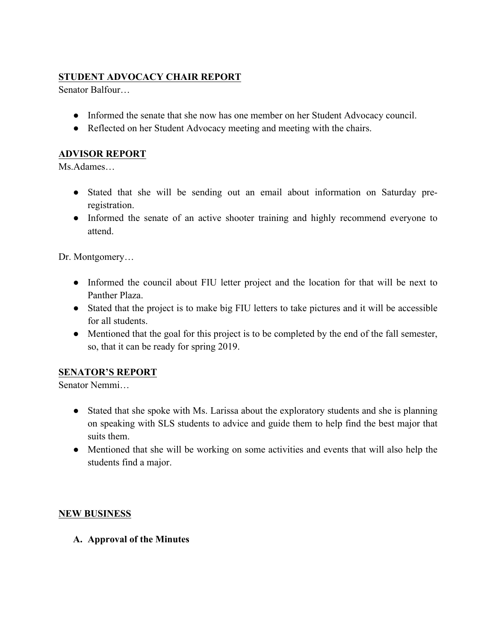## **STUDENT ADVOCACY CHAIR REPORT**

Senator Balfour…

- Informed the senate that she now has one member on her Student Advocacy council.
- Reflected on her Student Advocacy meeting and meeting with the chairs.

## **ADVISOR REPORT**

Ms.Adames…

- Stated that she will be sending out an email about information on Saturday preregistration.
- Informed the senate of an active shooter training and highly recommend everyone to attend.

Dr. Montgomery…

- Informed the council about FIU letter project and the location for that will be next to Panther Plaza.
- Stated that the project is to make big FIU letters to take pictures and it will be accessible for all students.
- Mentioned that the goal for this project is to be completed by the end of the fall semester, so, that it can be ready for spring 2019.

### **SENATOR'S REPORT**

Senator Nemmi…

- Stated that she spoke with Ms. Larissa about the exploratory students and she is planning on speaking with SLS students to advice and guide them to help find the best major that suits them.
- Mentioned that she will be working on some activities and events that will also help the students find a major.

### **NEW BUSINESS**

**A. Approval of the Minutes**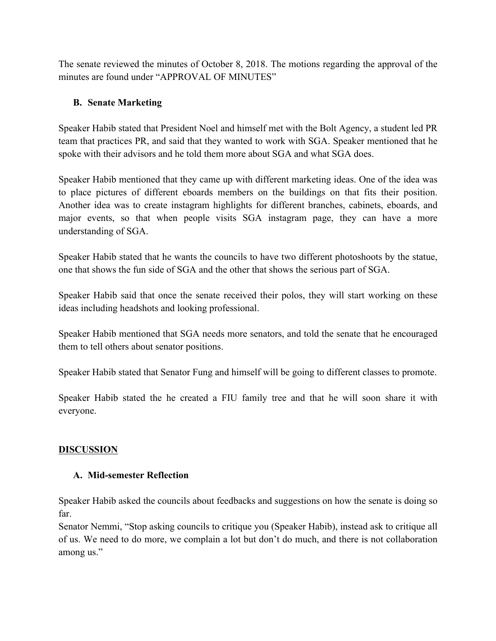The senate reviewed the minutes of October 8, 2018. The motions regarding the approval of the minutes are found under "APPROVAL OF MINUTES"

#### **B. Senate Marketing**

Speaker Habib stated that President Noel and himself met with the Bolt Agency, a student led PR team that practices PR, and said that they wanted to work with SGA. Speaker mentioned that he spoke with their advisors and he told them more about SGA and what SGA does.

Speaker Habib mentioned that they came up with different marketing ideas. One of the idea was to place pictures of different eboards members on the buildings on that fits their position. Another idea was to create instagram highlights for different branches, cabinets, eboards, and major events, so that when people visits SGA instagram page, they can have a more understanding of SGA.

Speaker Habib stated that he wants the councils to have two different photoshoots by the statue, one that shows the fun side of SGA and the other that shows the serious part of SGA.

Speaker Habib said that once the senate received their polos, they will start working on these ideas including headshots and looking professional.

Speaker Habib mentioned that SGA needs more senators, and told the senate that he encouraged them to tell others about senator positions.

Speaker Habib stated that Senator Fung and himself will be going to different classes to promote.

Speaker Habib stated the he created a FIU family tree and that he will soon share it with everyone.

#### **DISCUSSION**

#### **A. Mid-semester Reflection**

Speaker Habib asked the councils about feedbacks and suggestions on how the senate is doing so far.

Senator Nemmi, "Stop asking councils to critique you (Speaker Habib), instead ask to critique all of us. We need to do more, we complain a lot but don't do much, and there is not collaboration among us."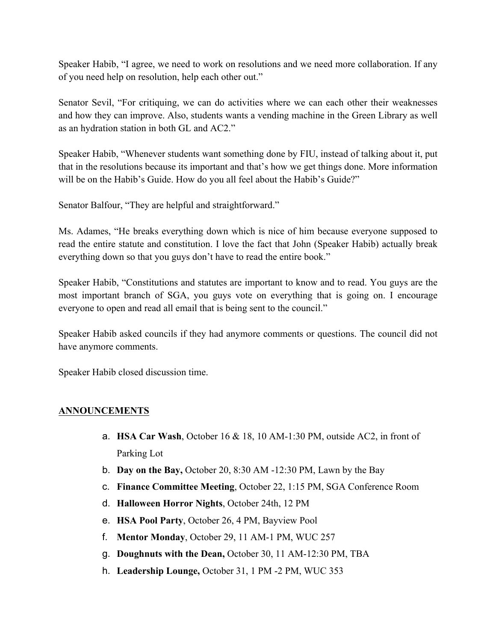Speaker Habib, "I agree, we need to work on resolutions and we need more collaboration. If any of you need help on resolution, help each other out."

Senator Sevil, "For critiquing, we can do activities where we can each other their weaknesses and how they can improve. Also, students wants a vending machine in the Green Library as well as an hydration station in both GL and AC2."

Speaker Habib, "Whenever students want something done by FIU, instead of talking about it, put that in the resolutions because its important and that's how we get things done. More information will be on the Habib's Guide. How do you all feel about the Habib's Guide?"

Senator Balfour, "They are helpful and straightforward."

Ms. Adames, "He breaks everything down which is nice of him because everyone supposed to read the entire statute and constitution. I love the fact that John (Speaker Habib) actually break everything down so that you guys don't have to read the entire book."

Speaker Habib, "Constitutions and statutes are important to know and to read. You guys are the most important branch of SGA, you guys vote on everything that is going on. I encourage everyone to open and read all email that is being sent to the council."

Speaker Habib asked councils if they had anymore comments or questions. The council did not have anymore comments.

Speaker Habib closed discussion time.

#### **ANNOUNCEMENTS**

- a. **HSA Car Wash**, October 16 & 18, 10 AM-1:30 PM, outside AC2, in front of Parking Lot
- b. **Day on the Bay,** October 20, 8:30 AM -12:30 PM, Lawn by the Bay
- c. **Finance Committee Meeting**, October 22, 1:15 PM, SGA Conference Room
- d. **Halloween Horror Nights**, October 24th, 12 PM
- e. **HSA Pool Party**, October 26, 4 PM, Bayview Pool
- f. **Mentor Monday**, October 29, 11 AM-1 PM, WUC 257
- g. **Doughnuts with the Dean,** October 30, 11 AM-12:30 PM, TBA
- h. **Leadership Lounge,** October 31, 1 PM -2 PM, WUC 353